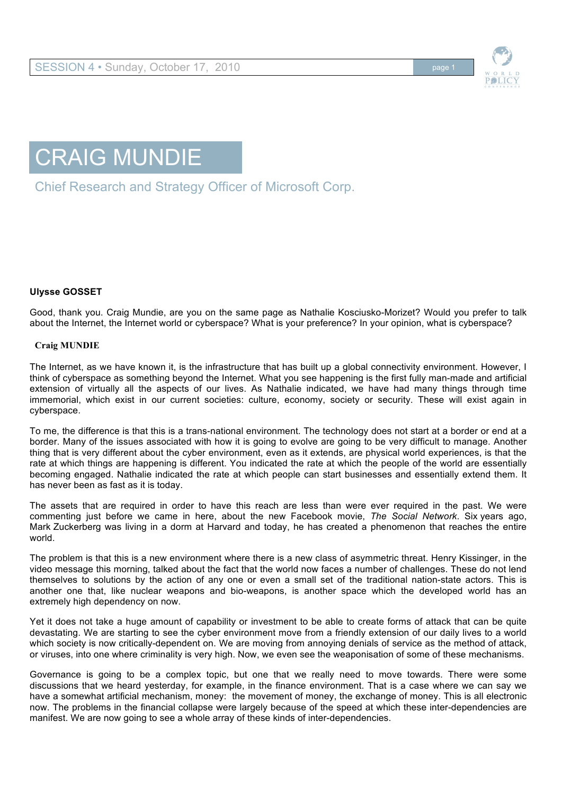



Chief Research and Strategy Officer of Microsoft Corp.

## **Ulysse GOSSET**

Good, thank you. Craig Mundie, are you on the same page as Nathalie Kosciusko-Morizet? Would you prefer to talk about the Internet, the Internet world or cyberspace? What is your preference? In your opinion, what is cyberspace?

## **Craig MUNDIE**

The Internet, as we have known it, is the infrastructure that has built up a global connectivity environment. However, I think of cyberspace as something beyond the Internet. What you see happening is the first fully man-made and artificial extension of virtually all the aspects of our lives. As Nathalie indicated, we have had many things through time immemorial, which exist in our current societies: culture, economy, society or security. These will exist again in cyberspace.

To me, the difference is that this is a trans-national environment. The technology does not start at a border or end at a border. Many of the issues associated with how it is going to evolve are going to be very difficult to manage. Another thing that is very different about the cyber environment, even as it extends, are physical world experiences, is that the rate at which things are happening is different. You indicated the rate at which the people of the world are essentially becoming engaged. Nathalie indicated the rate at which people can start businesses and essentially extend them. It has never been as fast as it is today.

The assets that are required in order to have this reach are less than were ever required in the past. We were commenting just before we came in here, about the new Facebook movie, *The Social Network*. Six years ago, Mark Zuckerberg was living in a dorm at Harvard and today, he has created a phenomenon that reaches the entire world.

The problem is that this is a new environment where there is a new class of asymmetric threat. Henry Kissinger, in the video message this morning, talked about the fact that the world now faces a number of challenges. These do not lend themselves to solutions by the action of any one or even a small set of the traditional nation-state actors. This is another one that, like nuclear weapons and bio-weapons, is another space which the developed world has an extremely high dependency on now.

Yet it does not take a huge amount of capability or investment to be able to create forms of attack that can be quite devastating. We are starting to see the cyber environment move from a friendly extension of our daily lives to a world which society is now critically-dependent on. We are moving from annoying denials of service as the method of attack, or viruses, into one where criminality is very high. Now, we even see the weaponisation of some of these mechanisms.

Governance is going to be a complex topic, but one that we really need to move towards. There were some discussions that we heard yesterday, for example, in the finance environment. That is a case where we can say we have a somewhat artificial mechanism, money: the movement of money, the exchange of money. This is all electronic now. The problems in the financial collapse were largely because of the speed at which these inter-dependencies are manifest. We are now going to see a whole array of these kinds of inter-dependencies.